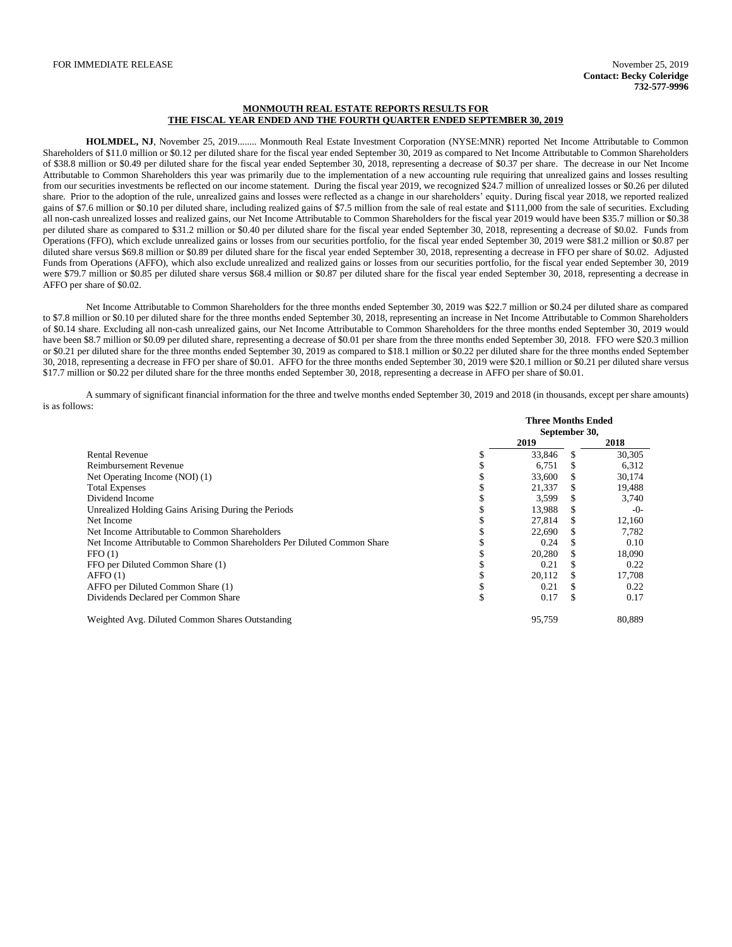## **MONMOUTH REAL ESTATE REPORTS RESULTS FOR THE FISCAL YEAR ENDED AND THE FOURTH QUARTER ENDED SEPTEMBER 30, 2019**

**HOLMDEL, NJ**, November 25, 2019........ Monmouth Real Estate Investment Corporation (NYSE:MNR) reported Net Income Attributable to Common Shareholders of \$11.0 million or \$0.12 per diluted share for the fiscal year ended September 30, 2019 as compared to Net Income Attributable to Common Shareholders of \$38.8 million or \$0.49 per diluted share for the fiscal year ended September 30, 2018, representing a decrease of \$0.37 per share. The decrease in our Net Income Attributable to Common Shareholders this year was primarily due to the implementation of a new accounting rule requiring that unrealized gains and losses resulting from our securities investments be reflected on our income statement. During the fiscal year 2019, we recognized \$24.7 million of unrealized losses or \$0.26 per diluted share. Prior to the adoption of the rule, unrealized gains and losses were reflected as a change in our shareholders' equity. During fiscal year 2018, we reported realized gains of \$7.6 million or \$0.10 per diluted share, including realized gains of \$7.5 million from the sale of real estate and \$111,000 from the sale of securities. Excluding all non-cash unrealized losses and realized gains, our Net Income Attributable to Common Shareholders for the fiscal year 2019 would have been \$35.7 million or \$0.38 per diluted share as compared to \$31.2 million or \$0.40 per diluted share for the fiscal year ended September 30, 2018, representing a decrease of \$0.02. Funds from Operations (FFO), which exclude unrealized gains or losses from our securities portfolio, for the fiscal year ended September 30, 2019 were \$81.2 million or \$0.87 per diluted share versus \$69.8 million or \$0.89 per diluted share for the fiscal year ended September 30, 2018, representing a decrease in FFO per share of \$0.02. Adjusted Funds from Operations (AFFO), which also exclude unrealized and realized gains or losses from our securities portfolio, for the fiscal year ended September 30, 2019 were \$79.7 million or \$0.85 per diluted share versus \$68.4 million or \$0.87 per diluted share for the fiscal year ended September 30, 2018, representing a decrease in AFFO per share of \$0.02.

Net Income Attributable to Common Shareholders for the three months ended September 30, 2019 was \$22.7 million or \$0.24 per diluted share as compared to \$7.8 million or \$0.10 per diluted share for the three months ended September 30, 2018, representing an increase in Net Income Attributable to Common Shareholders of \$0.14 share. Excluding all non-cash unrealized gains, our Net Income Attributable to Common Shareholders for the three months ended September 30, 2019 would have been \$8.7 million or \$0.09 per diluted share, representing a decrease of \$0.01 per share from the three months ended September 30, 2018. FFO were \$20.3 million or \$0.21 per diluted share for the three months ended September 30, 2019 as compared to \$18.1 million or \$0.22 per diluted share for the three months ended September 30, 2018, representing a decrease in FFO per share of \$0.01. AFFO for the three months ended September 30, 2019 were \$20.1 million or \$0.21 per diluted share versus \$17.7 million or \$0.22 per diluted share for the three months ended September 30, 2018, representing a decrease in AFFO per share of \$0.01.

A summary of significant financial information for the three and twelve months ended September 30, 2019 and 2018 (in thousands, except per share amounts) is as follows:

|                                                                         |    | <b>Three Months Ended</b><br>September 30, |    |        |
|-------------------------------------------------------------------------|----|--------------------------------------------|----|--------|
|                                                                         |    |                                            |    |        |
|                                                                         |    | 2019                                       |    | 2018   |
| <b>Rental Revenue</b>                                                   | \$ | 33,846                                     |    | 30,305 |
| Reimbursement Revenue                                                   |    | 6,751                                      |    | 6,312  |
| Net Operating Income (NOI) (1)                                          | J. | 33,600                                     |    | 30,174 |
| <b>Total Expenses</b>                                                   | J. | 21,337                                     |    | 19,488 |
| Dividend Income                                                         |    | 3,599                                      |    | 3,740  |
| Unrealized Holding Gains Arising During the Periods                     |    | 13,988                                     |    | $-0-$  |
| Net Income                                                              |    | 27,814                                     |    | 12,160 |
| Net Income Attributable to Common Shareholders                          |    | 22,690                                     |    | 7,782  |
| Net Income Attributable to Common Shareholders Per Diluted Common Share |    | 0.24                                       |    | 0.10   |
| FFO(1)                                                                  |    | 20,280                                     |    | 18,090 |
| FFO per Diluted Common Share (1)                                        |    | 0.21                                       |    | 0.22   |
| AFFO(1)                                                                 | \$ | 20,112                                     |    | 17,708 |
| AFFO per Diluted Common Share (1)                                       | \$ | 0.21                                       |    | 0.22   |
| Dividends Declared per Common Share                                     | \$ | 0.17                                       | £. | 0.17   |
| Weighted Avg. Diluted Common Shares Outstanding                         |    | 95,759                                     |    | 80,889 |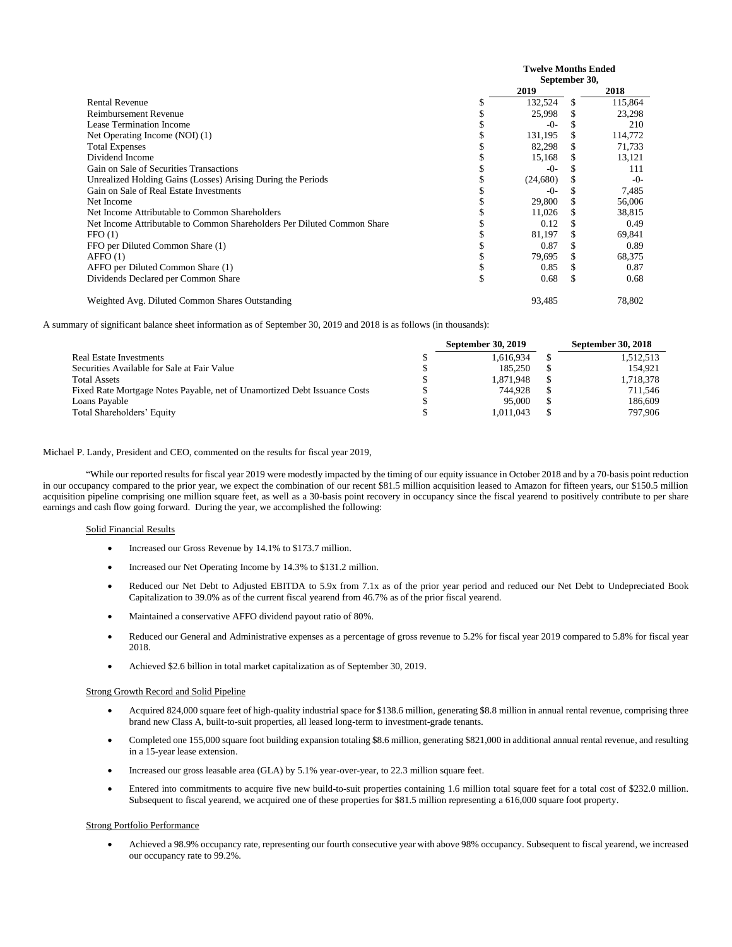|                                                                         | <b>Twelve Months Ended</b><br>September 30, |          |  |         |
|-------------------------------------------------------------------------|---------------------------------------------|----------|--|---------|
|                                                                         |                                             | 2019     |  | 2018    |
| <b>Rental Revenue</b>                                                   | J.                                          | 132,524  |  | 115,864 |
| <b>Reimbursement Revenue</b>                                            |                                             | 25,998   |  | 23,298  |
| Lease Termination Income                                                |                                             | -0-      |  | 210     |
| Net Operating Income (NOI) (1)                                          |                                             | 131,195  |  | 114,772 |
| <b>Total Expenses</b>                                                   |                                             | 82,298   |  | 71,733  |
| Dividend Income                                                         |                                             | 15,168   |  | 13,121  |
| Gain on Sale of Securities Transactions                                 |                                             | -0-      |  | 111     |
| Unrealized Holding Gains (Losses) Arising During the Periods            |                                             | (24,680) |  | $-0-$   |
| Gain on Sale of Real Estate Investments                                 |                                             | $-()$    |  | 7,485   |
| Net Income                                                              |                                             | 29,800   |  | 56,006  |
| Net Income Attributable to Common Shareholders                          |                                             | 11,026   |  | 38,815  |
| Net Income Attributable to Common Shareholders Per Diluted Common Share |                                             | 0.12     |  | 0.49    |
| FFO(1)                                                                  |                                             | 81,197   |  | 69,841  |
| FFO per Diluted Common Share (1)                                        |                                             | 0.87     |  | 0.89    |
| AFFO(1)                                                                 |                                             | 79.695   |  | 68,375  |
| AFFO per Diluted Common Share (1)                                       |                                             | 0.85     |  | 0.87    |
| Dividends Declared per Common Share                                     | S                                           | 0.68     |  | 0.68    |
| Weighted Avg. Diluted Common Shares Outstanding                         |                                             | 93.485   |  | 78,802  |

A summary of significant balance sheet information as of September 30, 2019 and 2018 is as follows (in thousands):

|                                                                           | September 30, 2019 |     | <b>September 30, 2018</b> |
|---------------------------------------------------------------------------|--------------------|-----|---------------------------|
| Real Estate Investments                                                   | 1.616.934          |     | 1.512.513                 |
| Securities Available for Sale at Fair Value                               | 185,250            |     | 154.921                   |
| <b>Total Assets</b>                                                       | 1.871.948          |     | 1,718,378                 |
| Fixed Rate Mortgage Notes Payable, net of Unamortized Debt Issuance Costs | 744.928            |     | 711.546                   |
| Loans Payable                                                             | 95,000             | \$. | 186,609                   |
| Total Shareholders' Equity                                                | 1.011.043          |     | 797.906                   |

# Michael P. Landy, President and CEO, commented on the results for fiscal year 2019,

"While our reported results for fiscal year 2019 were modestly impacted by the timing of our equity issuance in October 2018 and by a 70-basis point reduction in our occupancy compared to the prior year, we expect the combination of our recent \$81.5 million acquisition leased to Amazon for fifteen years, our \$150.5 million acquisition pipeline comprising one million square feet, as well as a 30-basis point recovery in occupancy since the fiscal yearend to positively contribute to per share earnings and cash flow going forward. During the year, we accomplished the following:

## Solid Financial Results

- Increased our Gross Revenue by 14.1% to \$173.7 million.
- Increased our Net Operating Income by 14.3% to \$131.2 million.
- Reduced our Net Debt to Adjusted EBITDA to 5.9x from 7.1x as of the prior year period and reduced our Net Debt to Undepreciated Book Capitalization to 39.0% as of the current fiscal yearend from 46.7% as of the prior fiscal yearend.
- Maintained a conservative AFFO dividend payout ratio of 80%.
- Reduced our General and Administrative expenses as a percentage of gross revenue to 5.2% for fiscal year 2019 compared to 5.8% for fiscal year 2018.
- Achieved \$2.6 billion in total market capitalization as of September 30, 2019.

### Strong Growth Record and Solid Pipeline

- Acquired 824,000 square feet of high-quality industrial space for \$138.6 million, generating \$8.8 million in annual rental revenue, comprising three brand new Class A, built-to-suit properties, all leased long-term to investment-grade tenants.
- Completed one 155,000 square foot building expansion totaling \$8.6 million, generating \$821,000 in additional annual rental revenue, and resulting in a 15-year lease extension.
- Increased our gross leasable area (GLA) by 5.1% year-over-year, to 22.3 million square feet.
- Entered into commitments to acquire five new build-to-suit properties containing 1.6 million total square feet for a total cost of \$232.0 million. Subsequent to fiscal yearend, we acquired one of these properties for \$81.5 million representing a 616,000 square foot property.

#### Strong Portfolio Performance

• Achieved a 98.9% occupancy rate, representing our fourth consecutive year with above 98% occupancy. Subsequent to fiscal yearend, we increased our occupancy rate to 99.2%.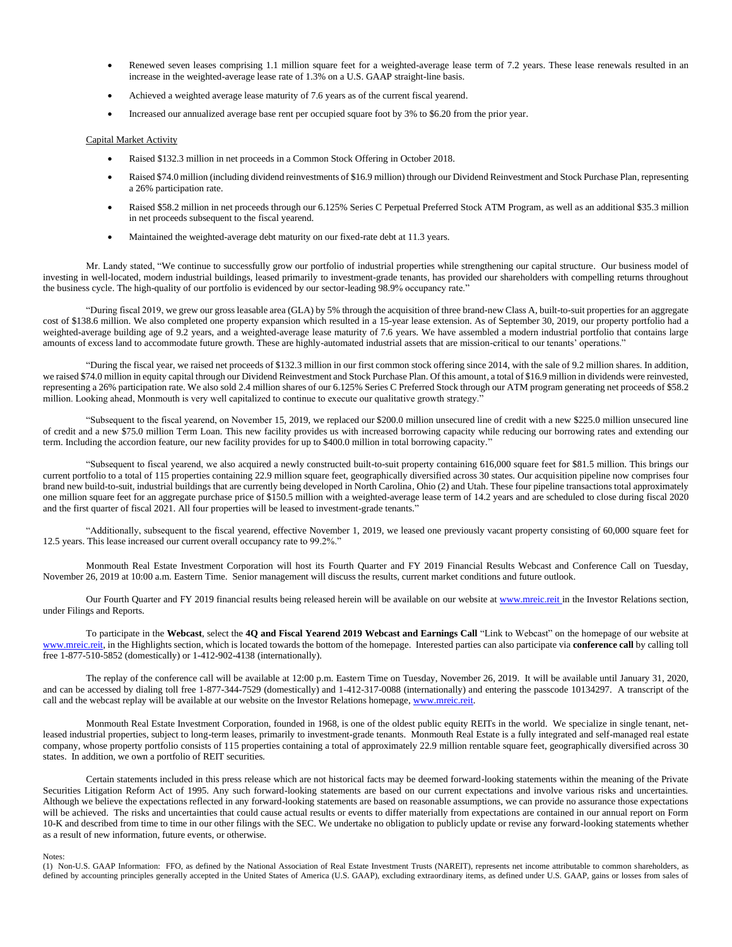- Renewed seven leases comprising 1.1 million square feet for a weighted-average lease term of 7.2 years. These lease renewals resulted in an increase in the weighted-average lease rate of 1.3% on a U.S. GAAP straight-line basis.
- Achieved a weighted average lease maturity of 7.6 years as of the current fiscal yearend.
- Increased our annualized average base rent per occupied square foot by 3% to \$6.20 from the prior year.

### Capital Market Activity

- Raised \$132.3 million in net proceeds in a Common Stock Offering in October 2018.
- Raised \$74.0 million (including dividend reinvestments of \$16.9 million) through our Dividend Reinvestment and Stock Purchase Plan, representing a 26% participation rate.
- Raised \$58.2 million in net proceeds through our 6.125% Series C Perpetual Preferred Stock ATM Program, as well as an additional \$35.3 million in net proceeds subsequent to the fiscal yearend.
- Maintained the weighted-average debt maturity on our fixed-rate debt at 11.3 years.

Mr. Landy stated, "We continue to successfully grow our portfolio of industrial properties while strengthening our capital structure. Our business model of investing in well-located, modern industrial buildings, leased primarily to investment-grade tenants, has provided our shareholders with compelling returns throughout the business cycle. The high-quality of our portfolio is evidenced by our sector-leading 98.9% occupancy rate."

"During fiscal 2019, we grew our gross leasable area (GLA) by 5% through the acquisition of three brand-new Class A, built-to-suit properties for an aggregate cost of \$138.6 million. We also completed one property expansion which resulted in a 15-year lease extension. As of September 30, 2019, our property portfolio had a weighted-average building age of 9.2 years, and a weighted-average lease maturity of 7.6 years. We have assembled a modern industrial portfolio that contains large amounts of excess land to accommodate future growth. These are highly-automated industrial assets that are mission-critical to our tenants' operations."

"During the fiscal year, we raised net proceeds of \$132.3 million in our first common stock offering since 2014, with the sale of 9.2 million shares. In addition, we raised \$74.0 million in equity capital through our Dividend Reinvestment and Stock Purchase Plan. Of this amount, a total of \$16.9 million in dividends were reinvested, representing a 26% participation rate. We also sold 2.4 million shares of our 6.125% Series C Preferred Stock through our ATM program generating net proceeds of \$58.2 million. Looking ahead, Monmouth is very well capitalized to continue to execute our qualitative growth strategy."

"Subsequent to the fiscal yearend, on November 15, 2019, we replaced our \$200.0 million unsecured line of credit with a new \$225.0 million unsecured line of credit and a new \$75.0 million Term Loan. This new facility provides us with increased borrowing capacity while reducing our borrowing rates and extending our term. Including the accordion feature, our new facility provides for up to \$400.0 million in total borrowing capacity."

"Subsequent to fiscal yearend, we also acquired a newly constructed built-to-suit property containing 616,000 square feet for \$81.5 million. This brings our current portfolio to a total of 115 properties containing 22.9 million square feet, geographically diversified across 30 states. Our acquisition pipeline now comprises four brand new build-to-suit, industrial buildings that are currently being developed in North Carolina, Ohio (2) and Utah. These four pipeline transactions total approximately one million square feet for an aggregate purchase price of \$150.5 million with a weighted-average lease term of 14.2 years and are scheduled to close during fiscal 2020 and the first quarter of fiscal 2021. All four properties will be leased to investment-grade tenants."

"Additionally, subsequent to the fiscal yearend, effective November 1, 2019, we leased one previously vacant property consisting of 60,000 square feet for 12.5 years. This lease increased our current overall occupancy rate to 99.2%."

Monmouth Real Estate Investment Corporation will host its Fourth Quarter and FY 2019 Financial Results Webcast and Conference Call on Tuesday, November 26, 2019 at 10:00 a.m. Eastern Time. Senior management will discuss the results, current market conditions and future outlook.

Our Fourth Quarter and FY 2019 financial results being released herein will be available on our website at [www.mreic.reit](http://www.mreic.reit/) in the Investor Relations section, under Filings and Reports.

To participate in the **Webcast**, select the **4Q and Fiscal Yearend 2019 Webcast and Earnings Call** "Link to Webcast" on the homepage of our website at [www.mreic.reit,](http://www.mreic.reit/) in the Highlights section, which is located towards the bottom of the homepage. Interested parties can also participate via **conference call** by calling toll free 1-877-510-5852 (domestically) or 1-412-902-4138 (internationally).

The replay of the conference call will be available at 12:00 p.m. Eastern Time on Tuesday, November 26, 2019. It will be available until January 31, 2020, and can be accessed by dialing toll free 1-877-344-7529 (domestically) and 1-412-317-0088 (internationally) and entering the passcode 10134297. A transcript of the call and the webcast replay will be available at our website on the Investor Relations homepage[, www.mreic.reit.](http://www.mreic.reit/)

Monmouth Real Estate Investment Corporation, founded in 1968, is one of the oldest public equity REITs in the world. We specialize in single tenant, netleased industrial properties, subject to long-term leases, primarily to investment-grade tenants. Monmouth Real Estate is a fully integrated and self-managed real estate company, whose property portfolio consists of 115 properties containing a total of approximately 22.9 million rentable square feet, geographically diversified across 30 states. In addition, we own a portfolio of REIT securities.

Certain statements included in this press release which are not historical facts may be deemed forward-looking statements within the meaning of the Private Securities Litigation Reform Act of 1995. Any such forward-looking statements are based on our current expectations and involve various risks and uncertainties. Although we believe the expectations reflected in any forward-looking statements are based on reasonable assumptions, we can provide no assurance those expectations will be achieved. The risks and uncertainties that could cause actual results or events to differ materially from expectations are contained in our annual report on Form 10-K and described from time to time in our other filings with the SEC. We undertake no obligation to publicly update or revise any forward-looking statements whether as a result of new information, future events, or otherwise.

#### Notes:

(1) Non-U.S. GAAP Information: FFO, as defined by the National Association of Real Estate Investment Trusts (NAREIT), represents net income attributable to common shareholders, as defined by accounting principles generally accepted in the United States of America (U.S. GAAP), excluding extraordinary items, as defined under U.S. GAAP, gains or losses from sales of